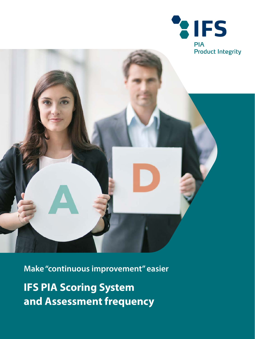



**Make "continuous improvement" easier**

**IFS PIA Scoring System and Assessment frequency**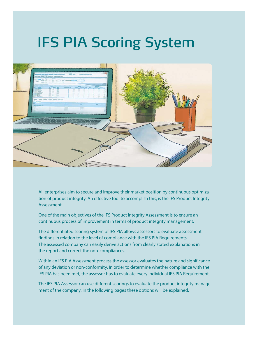# IFS PIA Scoring System



All enterprises aim to secure and improve their market position by continuous optimization of product integrity. An effective tool to accomplish this, is the IFS Product Integrity Assessment.

One of the main objectives of the IFS Product Integrity Assessment is to ensure an continuous process of improvement in terms of product integrity management.

The differentiated scoring system of IFS PIA allows assessors to evaluate assessment findings in relation to the level of compliance with the IFS PIA Requirements. The assessed company can easily derive actions from clearly stated explanations in the report and correct the non-compliances.

Within an IFS PIA Assessment process the assessor evaluates the nature and significance of any deviation or non-conformity. In order to determine whether compliance with the IFS PIA has been met, the assessor has to evaluate every individual IFS PIA Requirement.

The IFS PIA Assessor can use different scorings to evaluate the product integrity management of the company. In the following pages these options will be explained.

 $2 \times 2 \times 2 \times 2$  ,  $2 \times 2 \times 2 \times 2$  ,  $2 \times 2 \times 2 \times 2$  ,  $2 \times 2 \times 2 \times 2$  ,  $2 \times 2 \times 2 \times 2$  ,  $2 \times 2 \times 2 \times 2$  ,  $2 \times 2 \times 2 \times 2$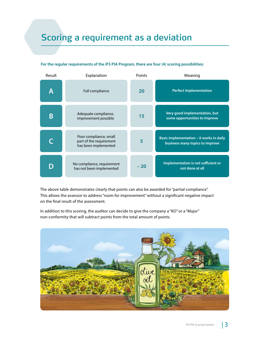## Scoring a requirement as a deviation

| Result | Explanation                                                               | Points | Meaning                                                                     |
|--------|---------------------------------------------------------------------------|--------|-----------------------------------------------------------------------------|
| Α      | Full compliance                                                           | 20     | <b>Perfect implementation</b>                                               |
| Β      | Adequate compliance,<br>improvement possible                              | 15     | Very good implementation, but<br>some opportunities to improve              |
|        | Poor compliance, small<br>part of the requirement<br>has been implemented | 5      | Basic implementation - it works in daily<br>business many topics to improve |
|        | No compliance, requirement<br>has not been implemented                    | $-20$  | Implementation is not sufficient or<br>not done at all                      |

#### **For the regular requirements of the IFS PIA Program, there are four (4) scoring possibilities:**

The above table demonstrates clearly that points can also be awarded for "partial compliance". This allows the assessor to address "room for improvement" without a significant negative impact on the final result of the assessment.

In addition to this scoring, the auditor can decide to give the company a "KO" or a "Major" non-conformity that will subtract points from the total amount of points.

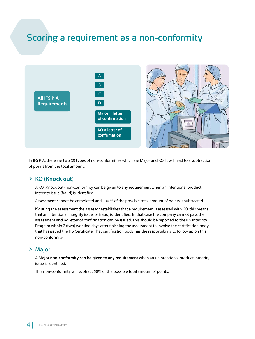## Scoring a requirement as a non-conformity



In IFS PIA, there are two (2) types of non-conformities which are Major and KO. It will lead to a subtraction of points from the total amount.

### > **KO (Knock out)**

A KO (Knock out) non-conformity can be given to any requirement when an intentional product integrity issue (fraud) is identified.

Assessment cannot be completed and 100 % of the possible total amount of points is subtracted.

If during the assessment the assessor establishes that a requirement is assessed with KO, this means that an intentional integrity issue, or fraud, is identified. In that case the company cannot pass the assessment and no letter of confirmation can be issued. This should be reported to the IFS Integrity Program within 2 (two) working days after finishing the assessment to involve the certification body that has issued the IFS Certificate. That certification body has the responsibility to follow up on this non-conformity.

### > **Major**

**A Major non-conformity can be given to any requirement** when an unintentional product integrity issue is identified.

This non-conformity will subtract 50% of the possible total amount of points.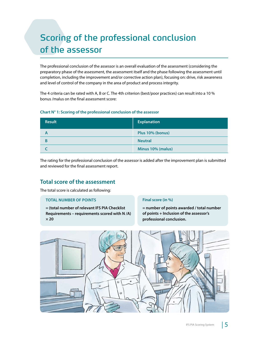## Scoring of the professional conclusion of the assessor

The professional conclusion of the assessor is an overall evaluation of the assessment (considering the preparatory phase of the assessment, the assessment itself and the phase following the assessment until completion, including the improvement and/or corrective action plan), focusing on: drive, risk awareness and level of control of the company in the area of product and process integrity.

The 4 criteria can be rated with A, B or C. The 4th criterion (best/poor practices) can result into a 10 % bonus /malus on the final assessment score:

#### **Chart N° 1: Scoring of the professional conclusion of the assessor**

| <b>Result</b> | <b>Explanation</b> |
|---------------|--------------------|
|               | Plus 10% (bonus)   |
|               | <b>Neutral</b>     |
|               | Minus 10% (malus)  |

The rating for the professional conclusion of the assessor is added after the improvement plan is submitted and reviewed for the final assessment report.

### **Total score of the assessment**

The total score is calculated as following:

#### **TOTAL NUMBER OF POINTS**

**= (total number of relevant IFS PIA Checklist Requirements – requirements scored with N /A) × 20**

#### **Final score (in %)**

**= number of points awarded / total number of points + Inclusion of the assessor's professional conclusion.**

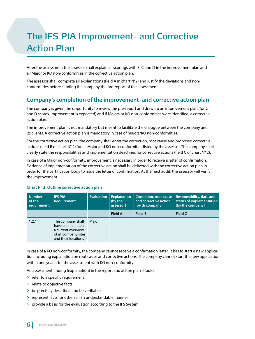## The IFS PIA Improvement- and Corrective Action Plan

After the assessment the assessor shall explain all scorings with B, C and D in the improvement plan and all Major or KO non-conformities in the corrective action plan.

The assessor shall complete all explanations (field A in chart  $N^{\circ}$ 2) and justify the deviations and nonconformities before sending the company the pre-report of the assessment.

### **Company's completion of the improvement- and corrective action plan**

The company is given the opportunity to review the pre-report and draw up an improvement plan (for C and D scores, improvement is expected) and if Majors or KO non-conformities were identified, a corrective action plan.

The improvement plan is not mandatory but meant to facilitate the dialogue between the company and its clients. A corrective action plan is mandatory in case of majors/KO non-conformities.

For the corrective action plan, the company shall enter the correction, root cause and proposed corrective actions (field B of chart N° 2) for all Major and KO non-conformities listed by the assessor. The company shall clearly state the responsibilities and implementation deadlines for corrective actions (field C of chart  $N^{\circ}$  2).

In case of a Major non-conformity, improvement is necessary in order to receive a letter of confirmation. Evidence of implementation of the corrective action shall be delivered with the corrective action plan in order for the certification body to issue the letter of confirmation. At the next audit, the assessor will verify the improvement.

| <b>Number</b><br>of the<br>requirement | <b>IFS PIA</b><br>Requirement                                                                                | <b>Evaluation</b> | <b>Explanation</b><br>(by the<br>assessor) | <b>Correction, root cause</b><br>and corrective action<br>(by th company) | Responsibility, date and<br>status of implementation<br>(by the company) |
|----------------------------------------|--------------------------------------------------------------------------------------------------------------|-------------------|--------------------------------------------|---------------------------------------------------------------------------|--------------------------------------------------------------------------|
|                                        |                                                                                                              |                   | <b>Field A</b>                             | <b>Field B</b>                                                            | <b>Field C</b>                                                           |
| 1.2.1                                  | The company shall<br>have and maintain<br>a current overview<br>of all company sites<br>and their locations. | Major             |                                            |                                                                           |                                                                          |

#### **Chart N° 2: Outline corrective action plan**

In case of a KO non-conformity, the company cannot receive a confirmation letter. It has to start a new application including explanation on root cause and corrective actions. The company cannot start the new application within one year after the assessment with KO non-conformity.

An assessment finding (explanation) in the report and action plan should:

- > refer to a specific requirement
- > relate to objective facts
- > be precisely described and be verifiable
- > represent facts for others in an understandable manner
- > provide a basis for the evaluation according to the IFS System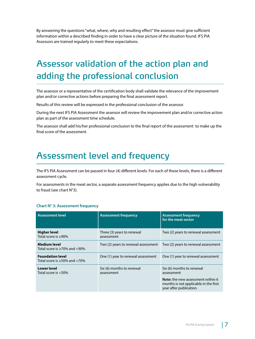By answering the questions "what, where, why and resulting effect" the assessor must give sufficient information within a described finding in order to have a clear picture of the situation found. IFS PIA Assessors are trained regularly to meet these expectations.

## Assessor validation of the action plan and adding the professional conclusion

The assessor or a representative of the certification body shall validate the relevance of the improvement plan and/or corrective actions before preparing the final assessment report.

Results of this review will be expressed in the professional conclusion of the assessor.

During the next IFS PIA Assessment the assessor will review the improvement plan and/or corrective action plan as part of the assessment time schedule.

The assessor shall add his/her professional conclusion to the final report of the assessment to make up the final score of the assessment.

### Assessment level and frequency

The IFS PIA Assessment can be passed in four (4) different levels. For each of these levels, there is a different assessment cycle.

For assessments in the meat sector, a separate assessment frequency applies due to the high vulnerability to fraud (see chart N°3).

#### **Chart N° 3: Assessment frequency**

| <b>Assessment level</b>                                            | <b>Assessment frequency</b>              | <b>Assessment frequency</b><br>for the meat sector                                                    |
|--------------------------------------------------------------------|------------------------------------------|-------------------------------------------------------------------------------------------------------|
| <b>Higher level</b><br>Total score is $\geq 90\%$                  | Three (3) years to renewal<br>assessment | Two (2) years to renewal assessment                                                                   |
| <b>Medium level</b><br>Total score is $\geq 70\%$ and $\lt 90\%$   | Two (2) years to renewal assessment      | Two (2) years to renewal assessment                                                                   |
| <b>Foundation level</b><br>Total score is $\geq$ 50% and $\lt$ 70% | One (1) year to renewal assessment       | One (1) year to renewal assessment                                                                    |
| <b>Lower level</b><br>Total score is $<$ 50%                       | Six (6) months to renewal<br>assessment  | Six (6) months to renewal<br>assessment                                                               |
|                                                                    |                                          | Note: the new assessment within 6<br>months is not applicable in the first<br>year after publication. |